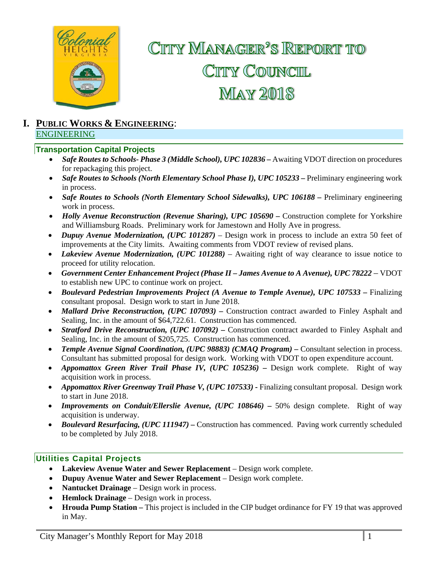

# CITTY MANAGER<sup>2</sup>S REPORT TO CITY COUNCIL **MAY 2018**

### **I. PUBLIC WORKS & ENGINEERING**: ENGINEERING

### **Transportation Capital Projects**

- **Safe Routes to Schools- Phase 3 (Middle School), UPC 102836 Awaiting VDOT direction on procedures** for repackaging this project.
- *Safe Routes to Schools (North Elementary School Phase I), UPC 105233*Preliminary engineering work in process.
- *Safe Routes to Schools (North Elementary School Sidewalks), UPC 106188 –* Preliminary engineering work in process.
- *Holly Avenue Reconstruction (Revenue Sharing), UPC 105690 Construction complete for Yorkshire* and Williamsburg Roads. Preliminary work for Jamestown and Holly Ave in progress.
- *Dupuy Avenue Modernization, (UPC 101287)* Design work in process to include an extra 50 feet of improvements at the City limits. Awaiting comments from VDOT review of revised plans.
- *Lakeview Avenue Modernization, (UPC 101288)* Awaiting right of way clearance to issue notice to proceed for utility relocation.
- *Government Center Enhancement Project (Phase II James Avenue to A Avenue), UPC 78222* VDOT to establish new UPC to continue work on project.
- **•** Boulevard Pedestrian Improvements Project (A Avenue to Temple Avenue), UPC 107533 Finalizing consultant proposal. Design work to start in June 2018.
- Mallard Drive Reconstruction, (UPC 107093) Construction contract awarded to Finley Asphalt and Sealing, Inc. in the amount of \$64,722.61. Construction has commenced.
- *Stratford Drive Reconstruction, (UPC 107092) –* Construction contract awarded to Finley Asphalt and Sealing, Inc. in the amount of \$205,725. Construction has commenced.
- Temple Avenue Signal Coordination, (UPC 98883) (CMAO Program) Consultant selection in process. Consultant has submitted proposal for design work. Working with VDOT to open expenditure account.
- Appomattox Green River Trail Phase IV, (UPC 105236) Design work complete. Right of way acquisition work in process.
- *Appomattox River Greenway Trail Phase V, (UPC 107533) -* Finalizing consultant proposal. Design work to start in June 2018.
- Improvements on Conduit/Ellerslie Avenue, (UPC 108646) 50% design complete. Right of way acquisition is underway.
- *Boulevard Resurfacing, (UPC 111947)*Construction has commenced. Paving work currently scheduled to be completed by July 2018.

### **Utilities Capital Projects**

- **Lakeview Avenue Water and Sewer Replacement** Design work complete.
- **Dupuy Avenue Water and Sewer Replacement** Design work complete.
- **Nantucket Drainage** Design work in process.
- **Hemlock Drainage** Design work in process.
- **Hrouda Pump Station –** This project is included in the CIP budget ordinance for FY 19 that was approved in May.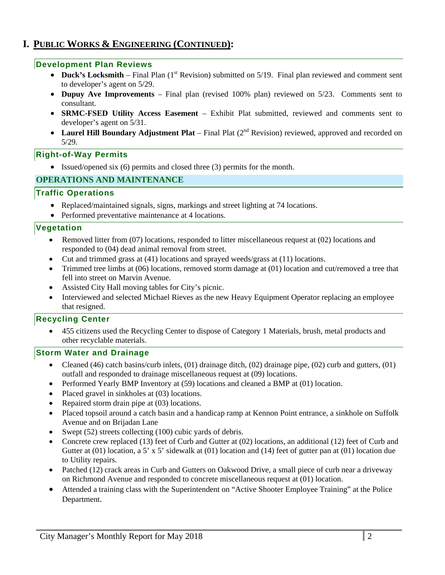## **I. PUBLIC WORKS & ENGINEERING (CONTINUED):**

### **Development Plan Reviews**

- Duck's Locksmith Final Plan  $(1<sup>st</sup>$  Revision) submitted on  $5/19$ . Final plan reviewed and comment sent to developer's agent on 5/29.
- **Dupuy Ave Improvements**  Final plan (revised 100% plan) reviewed on 5/23. Comments sent to consultant.
- **SRMC-FSED Utility Access Easement**  Exhibit Plat submitted, reviewed and comments sent to developer's agent on 5/31.
- Laurel Hill Boundary Adjustment Plat Final Plat (2<sup>nd</sup> Revision) reviewed, approved and recorded on 5/29.

### **Right-of-Way Permits**

• Issued/opened six (6) permits and closed three (3) permits for the month.

### **OPERATIONS AND MAINTENANCE**

### **Traffic Operations**

- Replaced/maintained signals, signs, markings and street lighting at 74 locations.
- Performed preventative maintenance at 4 locations.

### **Vegetation**

- Removed litter from (07) locations, responded to litter miscellaneous request at (02) locations and responded to (04) dead animal removal from street.
- Cut and trimmed grass at (41) locations and sprayed weeds/grass at (11) locations.
- Trimmed tree limbs at (06) locations, removed storm damage at (01) location and cut/removed a tree that fell into street on Marvin Avenue.
- Assisted City Hall moving tables for City's picnic.
- Interviewed and selected Michael Rieves as the new Heavy Equipment Operator replacing an employee that resigned.

### **Recycling Center**

 455 citizens used the Recycling Center to dispose of Category 1 Materials, brush, metal products and other recyclable materials.

### **Storm Water and Drainage**

- Cleaned (46) catch basins/curb inlets,  $(01)$  drainage ditch,  $(02)$  drainage pipe,  $(02)$  curb and gutters,  $(01)$ outfall and responded to drainage miscellaneous request at (09) locations.
- Performed Yearly BMP Inventory at (59) locations and cleaned a BMP at (01) location.
- Placed gravel in sinkholes at (03) locations.
- Repaired storm drain pipe at (03) locations.
- Placed topsoil around a catch basin and a handicap ramp at Kennon Point entrance, a sinkhole on Suffolk Avenue and on Brijadan Lane
- Swept (52) streets collecting (100) cubic yards of debris.
- Concrete crew replaced (13) feet of Curb and Gutter at (02) locations, an additional (12) feet of Curb and Gutter at (01) location, a 5' x 5' sidewalk at (01) location and (14) feet of gutter pan at (01) location due to Utility repairs.
- Patched (12) crack areas in Curb and Gutters on Oakwood Drive, a small piece of curb near a driveway on Richmond Avenue and responded to concrete miscellaneous request at (01) location.
- Attended a training class with the Superintendent on "Active Shooter Employee Training" at the Police Department.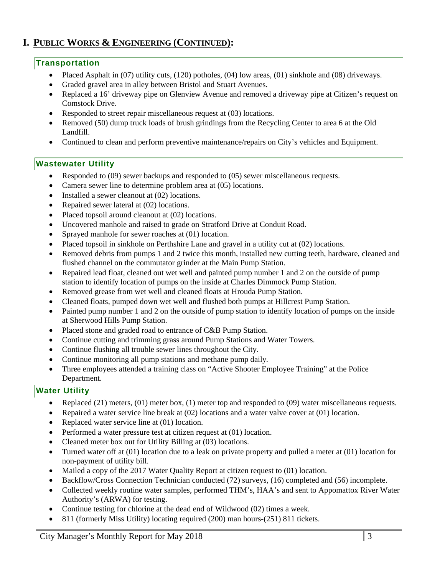## **I. PUBLIC WORKS & ENGINEERING (CONTINUED):**

### **Transportation**

- Placed Asphalt in (07) utility cuts, (120) potholes, (04) low areas, (01) sinkhole and (08) driveways.
- Graded gravel area in alley between Bristol and Stuart Avenues.
- Replaced a 16' driveway pipe on Glenview Avenue and removed a driveway pipe at Citizen's request on Comstock Drive.
- Responded to street repair miscellaneous request at (03) locations.
- Removed (50) dump truck loads of brush grindings from the Recycling Center to area 6 at the Old Landfill.
- Continued to clean and perform preventive maintenance/repairs on City's vehicles and Equipment.

### **Wastewater Utility**

- Responded to (09) sewer backups and responded to (05) sewer miscellaneous requests.
- Camera sewer line to determine problem area at (05) locations.
- Installed a sewer cleanout at (02) locations.
- Repaired sewer lateral at (02) locations.
- Placed topsoil around cleanout at (02) locations.
- Uncovered manhole and raised to grade on Stratford Drive at Conduit Road.
- Sprayed manhole for sewer roaches at (01) location.
- Placed topsoil in sinkhole on Perthshire Lane and gravel in a utility cut at (02) locations.
- Removed debris from pumps 1 and 2 twice this month, installed new cutting teeth, hardware, cleaned and flushed channel on the commutator grinder at the Main Pump Station.
- Repaired lead float, cleaned out wet well and painted pump number 1 and 2 on the outside of pump station to identify location of pumps on the inside at Charles Dimmock Pump Station.
- Removed grease from wet well and cleaned floats at Hrouda Pump Station.
- Cleaned floats, pumped down wet well and flushed both pumps at Hillcrest Pump Station.
- Painted pump number 1 and 2 on the outside of pump station to identify location of pumps on the inside at Sherwood Hills Pump Station.
- Placed stone and graded road to entrance of C&B Pump Station.
- Continue cutting and trimming grass around Pump Stations and Water Towers.
- Continue flushing all trouble sewer lines throughout the City.
- Continue monitoring all pump stations and methane pump daily*.*
- Three employees attended a training class on "Active Shooter Employee Training" at the Police Department.

### **Water Utility**

- Replaced (21) meters, (01) meter box, (1) meter top and responded to (09) water miscellaneous requests.
- Repaired a water service line break at (02) locations and a water valve cover at (01) location.
- Replaced water service line at (01) location.
- Performed a water pressure test at citizen request at (01) location.
- Cleaned meter box out for Utility Billing at (03) locations.
- Turned water off at (01) location due to a leak on private property and pulled a meter at (01) location for non-payment of utility bill.
- Mailed a copy of the 2017 Water Quality Report at citizen request to (01) location.
- Backflow/Cross Connection Technician conducted (72) surveys, (16) completed and (56) incomplete.
- Collected weekly routine water samples, performed THM's, HAA's and sent to Appomattox River Water Authority's (ARWA) for testing.
- Continue testing for chlorine at the dead end of Wildwood (02) times a week.
- 811 (formerly Miss Utility) locating required (200) man hours-(251) 811 tickets.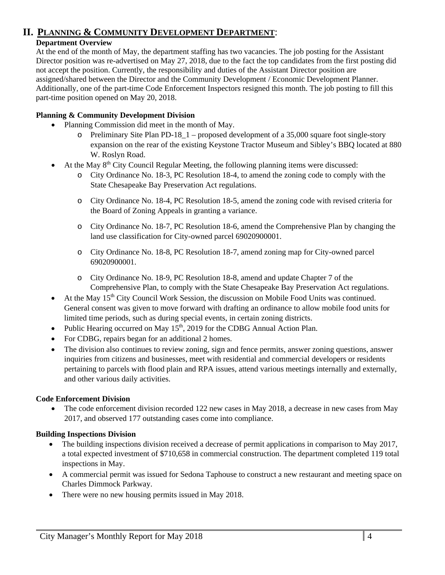## **II. PLANNING & COMMUNITY DEVELOPMENT DEPARTMENT**:

### **Department Overview**

At the end of the month of May, the department staffing has two vacancies. The job posting for the Assistant Director position was re-advertised on May 27, 2018, due to the fact the top candidates from the first posting did not accept the position. Currently, the responsibility and duties of the Assistant Director position are assigned/shared between the Director and the Community Development / Economic Development Planner. Additionally, one of the part-time Code Enforcement Inspectors resigned this month. The job posting to fill this part-time position opened on May 20, 2018.

### **Planning & Community Development Division**

- Planning Commission did meet in the month of May.
	- $\circ$  Preliminary Site Plan PD-18\_1 proposed development of a 35,000 square foot single-story expansion on the rear of the existing Keystone Tractor Museum and Sibley's BBQ located at 880 W. Roslyn Road.
- $\bullet$  At the May  $8<sup>th</sup>$  City Council Regular Meeting, the following planning items were discussed:
	- o City Ordinance No. 18-3, PC Resolution 18-4, to amend the zoning code to comply with the State Chesapeake Bay Preservation Act regulations.
	- o City Ordinance No. 18-4, PC Resolution 18-5, amend the zoning code with revised criteria for the Board of Zoning Appeals in granting a variance.
	- o City Ordinance No. 18-7, PC Resolution 18-6, amend the Comprehensive Plan by changing the land use classification for City-owned parcel 69020900001.
	- o City Ordinance No. 18-8, PC Resolution 18-7, amend zoning map for City-owned parcel 69020900001.
	- o City Ordinance No. 18-9, PC Resolution 18-8, amend and update Chapter 7 of the Comprehensive Plan, to comply with the State Chesapeake Bay Preservation Act regulations.
- $\bullet$  At the May 15<sup>th</sup> City Council Work Session, the discussion on Mobile Food Units was continued. General consent was given to move forward with drafting an ordinance to allow mobile food units for limited time periods, such as during special events, in certain zoning districts.
- Public Hearing occurred on May  $15<sup>th</sup>$ , 2019 for the CDBG Annual Action Plan.
- For CDBG, repairs began for an additional 2 homes.
- The division also continues to review zoning, sign and fence permits, answer zoning questions, answer inquiries from citizens and businesses, meet with residential and commercial developers or residents pertaining to parcels with flood plain and RPA issues, attend various meetings internally and externally, and other various daily activities.

### **Code Enforcement Division**

• The code enforcement division recorded 122 new cases in May 2018, a decrease in new cases from May 2017, and observed 177 outstanding cases come into compliance.

### **Building Inspections Division**

- The building inspections division received a decrease of permit applications in comparison to May 2017, a total expected investment of \$710,658 in commercial construction. The department completed 119 total inspections in May.
- A commercial permit was issued for Sedona Taphouse to construct a new restaurant and meeting space on Charles Dimmock Parkway.
- There were no new housing permits issued in May 2018.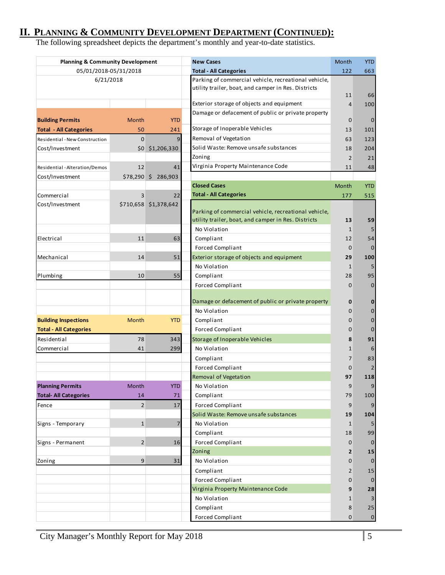## **II. PLANNING & COMMUNITY DEVELOPMENT DEPARTMENT (CONTINUED):**

The following spreadsheet depicts the department's monthly and year-to-date statistics.

| <b>Planning &amp; Community Development</b> |                |                       | <b>New Cases</b>                                                                                            | Month             | <b>YTD</b>              |
|---------------------------------------------|----------------|-----------------------|-------------------------------------------------------------------------------------------------------------|-------------------|-------------------------|
| 05/01/2018-05/31/2018                       |                |                       | <b>Total - All Categories</b>                                                                               | 122               | 663                     |
| 6/21/2018                                   |                |                       | Parking of commercial vehicle, recreational vehicle,<br>utility trailer, boat, and camper in Res. Districts | 11                | 66                      |
|                                             |                |                       | Exterior storage of objects and equipment                                                                   | $\overline{4}$    | 100                     |
|                                             |                |                       | Damage or defacement of public or private property                                                          |                   |                         |
| <b>Building Permits</b>                     | Month          | <b>YTD</b>            |                                                                                                             | 0                 | $\mathbf 0$             |
| <b>Total - All Categories</b>               | 50             | 241                   | Storage of Inoperable Vehicles                                                                              | 13                | 101                     |
| Residential - New Construction              | $\mathbf 0$    | 9                     | Removal of Vegetation                                                                                       | 63                | 123                     |
| Cost/Investment                             |                | \$0 \$1,206,330       | Solid Waste: Remove unsafe substances                                                                       | 18                | 204                     |
|                                             |                |                       | Zoning                                                                                                      | $\overline{2}$    | 21                      |
| Residential - Alteration/Demos              | 12             | 41                    | Virginia Property Maintenance Code                                                                          | 11                | 48                      |
| Cost/Investment                             |                | \$78,290 \$ 286,903   |                                                                                                             |                   |                         |
|                                             |                |                       | <b>Closed Cases</b>                                                                                         | Month             | <b>YTD</b>              |
| Commercial                                  | 3              | 22                    | <b>Total - All Categories</b>                                                                               | 177               | 515                     |
| Cost/Investment                             |                | \$710,658 \$1,378,642 | Parking of commercial vehicle, recreational vehicle,<br>utility trailer, boat, and camper in Res. Districts | 13                | 59                      |
|                                             |                |                       | No Violation                                                                                                | $\mathbf{1}$      |                         |
| Electrical                                  | 11             | 63                    | Compliant                                                                                                   | 12                | 54                      |
|                                             |                |                       | <b>Forced Compliant</b>                                                                                     | $\mathbf 0$       | $\mathbf{0}$            |
| Mechanical                                  | 14             | 51                    | Exterior storage of objects and equipment                                                                   | 29                | 100                     |
|                                             |                |                       | No Violation                                                                                                | 1                 | 5                       |
| Plumbing                                    | 10             | 55                    | Compliant<br><b>Forced Compliant</b>                                                                        | 28<br>$\mathbf 0$ | 95<br>$\mathbf{0}$      |
|                                             |                |                       | Damage or defacement of public or private property<br>No Violation                                          | 0<br>$\mathbf 0$  | $\bf{0}$<br>$\mathbf 0$ |
| <b>Building Inspections</b>                 | Month          | <b>YTD</b>            | Compliant                                                                                                   | 0                 | $\mathbf 0$             |
| <b>Total - All Categories</b>               |                |                       | <b>Forced Compliant</b>                                                                                     | 0                 | $\mathbf{0}$            |
| Residential                                 | 78             | 343                   | Storage of Inoperable Vehicles                                                                              | 8                 | 91                      |
| Commercial                                  | 41             | 299                   | No Violation                                                                                                | 1                 | 6                       |
|                                             |                |                       | Compliant                                                                                                   | 7                 | 83                      |
|                                             |                |                       | <b>Forced Compliant</b>                                                                                     | 0                 |                         |
|                                             |                |                       | Removal of Vegetation                                                                                       | 97                | 118                     |
| <b>Planning Permits</b>                     | Month          | <b>YTD</b>            | No Violation                                                                                                | 9                 | 9                       |
| <b>Total- All Categories</b>                | 14             | 71                    | Compliant                                                                                                   | 79                | 100                     |
| Fence                                       | $\overline{2}$ | 17                    | <b>Forced Compliant</b>                                                                                     | 9                 |                         |
|                                             |                |                       | Solid Waste: Remove unsafe substances                                                                       | 19                | 104                     |
| Signs - Temporary                           | $\mathbf{1}$   | 7                     | No Violation                                                                                                | $\mathbf{1}$      |                         |
|                                             |                |                       | Compliant                                                                                                   | 18                | 99                      |
| Signs - Permanent                           | $\overline{2}$ | 16                    | <b>Forced Compliant</b>                                                                                     | 0                 | $\bf{0}$                |
|                                             |                |                       | Zoning                                                                                                      | 2                 | 15                      |
| Zoning                                      | 9              | 31                    | No Violation                                                                                                | 0                 | $\mathbf{0}$            |
|                                             |                |                       | Compliant                                                                                                   | 2                 | 15                      |
|                                             |                |                       | <b>Forced Compliant</b>                                                                                     | 0                 | $\mathbf{0}$            |
|                                             |                |                       | Virginia Property Maintenance Code                                                                          | 9                 | 28                      |
|                                             |                |                       | No Violation                                                                                                | $\mathbf{1}$      |                         |
|                                             |                |                       | Compliant                                                                                                   | 8                 | 25                      |
|                                             |                |                       | <b>Forced Compliant</b>                                                                                     | $\mathbf{0}$      | $\mathbf{0}$            |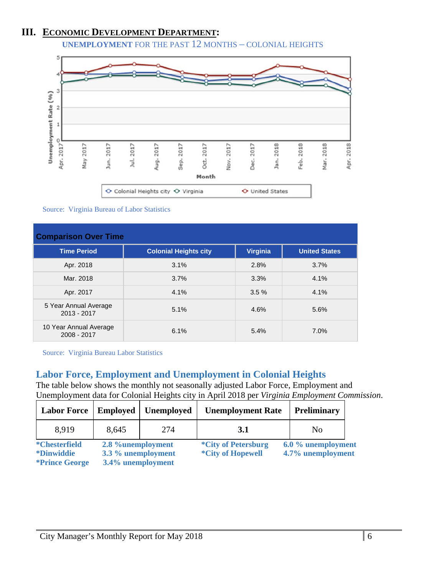## **III. ECONOMIC DEVELOPMENT DEPARTMENT:**

**UNEMPLOYMENT** FOR THE PAST 12 MONTHS – COLONIAL HEIGHTS



Source: Virginia Bureau of Labor Statistics

| <b>Comparison Over Time</b>            |                              |                 |                      |  |
|----------------------------------------|------------------------------|-----------------|----------------------|--|
| <b>Time Period</b>                     | <b>Colonial Heights city</b> | <b>Virginia</b> | <b>United States</b> |  |
| Apr. 2018                              | 3.1%                         | 2.8%            | 3.7%                 |  |
| Mar. 2018                              | 3.7%                         | 3.3%            | 4.1%                 |  |
| Apr. 2017                              | 4.1%                         | 3.5%            | 4.1%                 |  |
| 5 Year Annual Average<br>$2013 - 2017$ | 5.1%                         | 4.6%            | 5.6%                 |  |
| 10 Year Annual Average<br>2008 - 2017  | 6.1%                         | 5.4%            | 7.0%                 |  |

Source: Virginia Bureau Labor Statistics

## **Labor Force, Employment and Unemployment in Colonial Heights**

The table below shows the monthly not seasonally adjusted Labor Force, Employment and Unemployment data for Colonial Heights city in April 2018 per *Virginia Employment Commission*.

| <b>Labor Force</b>                        | <b>Employed</b>                         | <b>Unemployed</b> | <b>Unemployment Rate</b>                               | <b>Preliminary</b>                      |  |
|-------------------------------------------|-----------------------------------------|-------------------|--------------------------------------------------------|-----------------------------------------|--|
| 8,919                                     | 8,645                                   | 274               | 3.1                                                    | N <sub>0</sub>                          |  |
| <i>*Chesterfield</i><br><i>*Dinwiddie</i> | 2.8 %unemployment<br>3.3 % unemployment |                   | <i>*City of Petersburg</i><br><i>*City of Hopewell</i> | 6.0 % unemployment<br>4.7% unemployment |  |
| <i>*Prince George</i>                     | 3.4% unemployment                       |                   |                                                        |                                         |  |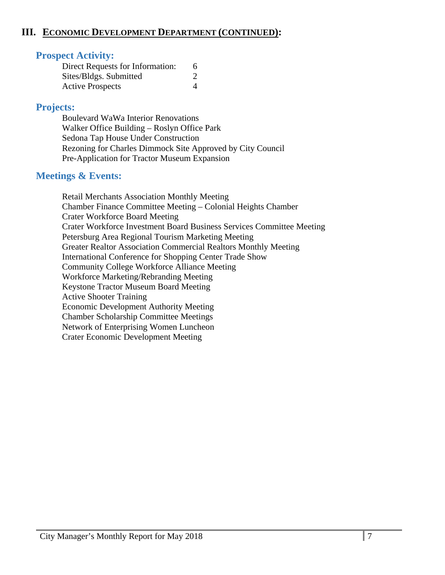## **III. ECONOMIC DEVELOPMENT DEPARTMENT (CONTINUED):**

## **Prospect Activity:**

| Direct Requests for Information: |  |
|----------------------------------|--|
| Sites/Bldgs. Submitted           |  |
| <b>Active Prospects</b>          |  |

## **Projects:**

Boulevard WaWa Interior Renovations Walker Office Building – Roslyn Office Park Sedona Tap House Under Construction Rezoning for Charles Dimmock Site Approved by City Council Pre-Application for Tractor Museum Expansion

## **Meetings & Events:**

 Retail Merchants Association Monthly Meeting Chamber Finance Committee Meeting – Colonial Heights Chamber Crater Workforce Board Meeting Crater Workforce Investment Board Business Services Committee Meeting Petersburg Area Regional Tourism Marketing Meeting Greater Realtor Association Commercial Realtors Monthly Meeting International Conference for Shopping Center Trade Show Community College Workforce Alliance Meeting Workforce Marketing/Rebranding Meeting Keystone Tractor Museum Board Meeting Active Shooter Training Economic Development Authority Meeting Chamber Scholarship Committee Meetings Network of Enterprising Women Luncheon Crater Economic Development Meeting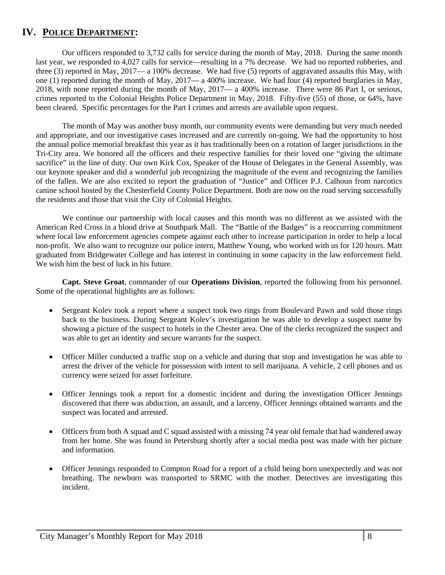## **IV. POLICE DEPARTMENT:**

Our officers responded to 3,732 calls for service during the month of May, 2018. During the same month last year, we responded to 4,027 calls for service—resulting in a 7% decrease. We had no reported robberies, and three (3) reported in May, 2017— a 100% decrease. We had five (5) reports of aggravated assaults this May, with one (1) reported during the month of May, 2017— a 400% increase. We had four (4) reported burglaries in May, 2018, with none reported during the month of May, 2017— a 400% increase. There were 86 Part I, or serious, crimes reported to the Colonial Heights Police Department in May, 2018. Fifty-five (55) of those, or 64%, have been cleared. Specific percentages for the Part I crimes and arrests are available upon request.

The month of May was another busy month, our community events were demanding but very much needed and appropriate, and our investigative cases increased and are currently on-going. We had the opportunity to host the annual police memorial breakfast this year as it has traditionally been on a rotation of larger jurisdictions in the Tri-City area. We honored all the officers and their respective families for their loved one "giving the ultimate sacrifice" in the line of duty. Our own Kirk Cox, Speaker of the House of Delegates in the General Assembly, was our keynote speaker and did a wonderful job recognizing the magnitude of the event and recognizing the families of the fallen. We are also excited to report the graduation of "Justice" and Officer P.J. Calhoun from narcotics canine school hosted by the Chesterfield County Police Department. Both are now on the road serving successfully the residents and those that visit the City of Colonial Heights.

We continue our partnership with local causes and this month was no different as we assisted with the American Red Cross in a blood drive at Southpark Mall. The "Battle of the Badges" is a reoccurring commitment where local law enforcement agencies compete against each other to increase participation in order to help a local non-profit. We also want to recognize our police intern, Matthew Young, who worked with us for 120 hours. Matt graduated from Bridgewater College and has interest in continuing in some capacity in the law enforcement field. We wish him the best of luck in his future.

**Capt. Steve Groat**, commander of our **Operations Division**, reported the following from his personnel. Some of the operational highlights are as follows:

- Sergeant Kolev took a report where a suspect took two rings from Boulevard Pawn and sold those rings back to the business. During Sergeant Kolev's investigation he was able to develop a suspect name by showing a picture of the suspect to hotels in the Chester area. One of the clerks recognized the suspect and was able to get an identity and secure warrants for the suspect.
- Officer Miller conducted a traffic stop on a vehicle and during that stop and investigation he was able to arrest the driver of the vehicle for possession with intent to sell marijuana. A vehicle, 2 cell phones and us currency were seized for asset forfeiture.
- Officer Jennings took a report for a domestic incident and during the investigation Officer Jennings discovered that there was abduction, an assault, and a larceny. Officer Jennings obtained warrants and the suspect was located and arrested.
- Officers from both A squad and C squad assisted with a missing 74 year old female that had wandered away from her home. She was found in Petersburg shortly after a social media post was made with her picture and information.
- Officer Jennings responded to Compton Road for a report of a child being born unexpectedly and was not breathing. The newborn was transported to SRMC with the mother. Detectives are investigating this incident.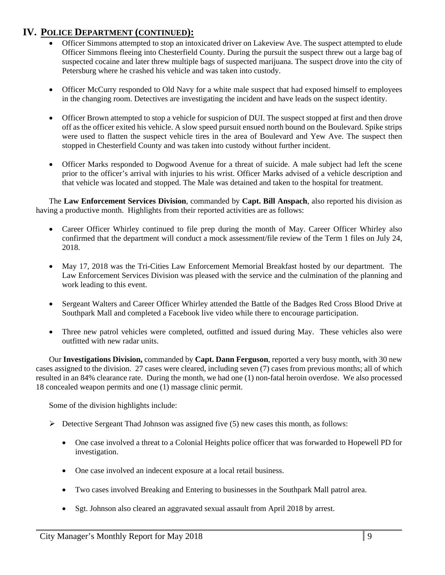## **IV. POLICE DEPARTMENT (CONTINUED):**

- Officer Simmons attempted to stop an intoxicated driver on Lakeview Ave. The suspect attempted to elude Officer Simmons fleeing into Chesterfield County. During the pursuit the suspect threw out a large bag of suspected cocaine and later threw multiple bags of suspected marijuana. The suspect drove into the city of Petersburg where he crashed his vehicle and was taken into custody.
- Officer McCurry responded to Old Navy for a white male suspect that had exposed himself to employees in the changing room. Detectives are investigating the incident and have leads on the suspect identity.
- Officer Brown attempted to stop a vehicle for suspicion of DUI. The suspect stopped at first and then drove off as the officer exited his vehicle. A slow speed pursuit ensued north bound on the Boulevard. Spike strips were used to flatten the suspect vehicle tires in the area of Boulevard and Yew Ave. The suspect then stopped in Chesterfield County and was taken into custody without further incident.
- Officer Marks responded to Dogwood Avenue for a threat of suicide. A male subject had left the scene prior to the officer's arrival with injuries to his wrist. Officer Marks advised of a vehicle description and that vehicle was located and stopped. The Male was detained and taken to the hospital for treatment.

The **Law Enforcement Services Division**, commanded by **Capt. Bill Anspach**, also reported his division as having a productive month. Highlights from their reported activities are as follows:

- Career Officer Whirley continued to file prep during the month of May. Career Officer Whirley also confirmed that the department will conduct a mock assessment/file review of the Term 1 files on July 24, 2018.
- May 17, 2018 was the Tri-Cities Law Enforcement Memorial Breakfast hosted by our department. The Law Enforcement Services Division was pleased with the service and the culmination of the planning and work leading to this event.
- Sergeant Walters and Career Officer Whirley attended the Battle of the Badges Red Cross Blood Drive at Southpark Mall and completed a Facebook live video while there to encourage participation.
- Three new patrol vehicles were completed, outfitted and issued during May. These vehicles also were outfitted with new radar units.

Our **Investigations Division,** commanded by **Capt. Dann Ferguson**, reported a very busy month, with 30 new cases assigned to the division. 27 cases were cleared, including seven (7) cases from previous months; all of which resulted in an 84% clearance rate. During the month, we had one (1) non-fatal heroin overdose. We also processed 18 concealed weapon permits and one (1) massage clinic permit.

Some of the division highlights include:

- $\triangleright$  Detective Sergeant Thad Johnson was assigned five (5) new cases this month, as follows:
	- One case involved a threat to a Colonial Heights police officer that was forwarded to Hopewell PD for investigation.
	- One case involved an indecent exposure at a local retail business.
	- Two cases involved Breaking and Entering to businesses in the Southpark Mall patrol area.
	- Sgt. Johnson also cleared an aggravated sexual assault from April 2018 by arrest.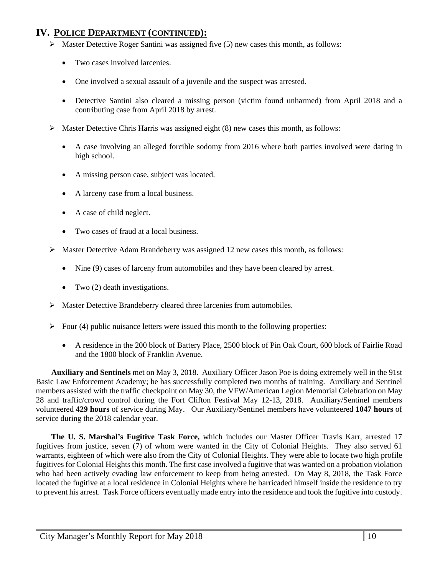## **IV. POLICE DEPARTMENT (CONTINUED):**

- $\triangleright$  Master Detective Roger Santini was assigned five (5) new cases this month, as follows:
	- Two cases involved larcenies.
	- One involved a sexual assault of a juvenile and the suspect was arrested.
	- Detective Santini also cleared a missing person (victim found unharmed) from April 2018 and a contributing case from April 2018 by arrest.
- $\triangleright$  Master Detective Chris Harris was assigned eight (8) new cases this month, as follows:
	- A case involving an alleged forcible sodomy from 2016 where both parties involved were dating in high school.
	- A missing person case, subject was located.
	- A larceny case from a local business.
	- A case of child neglect.
	- Two cases of fraud at a local business.
- $\triangleright$  Master Detective Adam Brandeberry was assigned 12 new cases this month, as follows:
	- Nine (9) cases of larceny from automobiles and they have been cleared by arrest.
	- Two  $(2)$  death investigations.
- Master Detective Brandeberry cleared three larcenies from automobiles.
- $\triangleright$  Four (4) public nuisance letters were issued this month to the following properties:
	- A residence in the 200 block of Battery Place, 2500 block of Pin Oak Court, 600 block of Fairlie Road and the 1800 block of Franklin Avenue.

**Auxiliary and Sentinels** met on May 3, 2018. Auxiliary Officer Jason Poe is doing extremely well in the 91st Basic Law Enforcement Academy; he has successfully completed two months of training. Auxiliary and Sentinel members assisted with the traffic checkpoint on May 30, the VFW/American Legion Memorial Celebration on May 28 and traffic/crowd control during the Fort Clifton Festival May 12-13, 2018. Auxiliary/Sentinel members volunteered **429 hours** of service during May. Our Auxiliary/Sentinel members have volunteered **1047 hours** of service during the 2018 calendar year.

**The U. S. Marshal's Fugitive Task Force,** which includes our Master Officer Travis Karr, arrested 17 fugitives from justice, seven (7) of whom were wanted in the City of Colonial Heights. They also served 61 warrants, eighteen of which were also from the City of Colonial Heights. They were able to locate two high profile fugitives for Colonial Heights this month. The first case involved a fugitive that was wanted on a probation violation who had been actively evading law enforcement to keep from being arrested. On May 8, 2018, the Task Force located the fugitive at a local residence in Colonial Heights where he barricaded himself inside the residence to try to prevent his arrest. Task Force officers eventually made entry into the residence and took the fugitive into custody.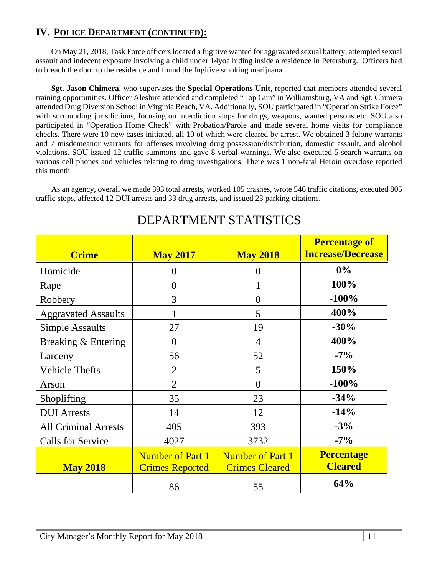## **IV. POLICE DEPARTMENT (CONTINUED):**

On May 21, 2018, Task Force officers located a fugitive wanted for aggravated sexual battery, attempted sexual assault and indecent exposure involving a child under 14yoa hiding inside a residence in Petersburg. Officers had to breach the door to the residence and found the fugitive smoking marijuana.

**Sgt. Jason Chimera**, who supervises the **Special Operations Unit**, reported that members attended several training opportunities. Officer Aleshire attended and completed "Top Gun" in Williamsburg, VA and Sgt. Chimera attended Drug Diversion School in Virginia Beach, VA. Additionally, SOU participated in "Operation Strike Force" with surrounding jurisdictions, focusing on interdiction stops for drugs, weapons, wanted persons etc. SOU also participated in "Operation Home Check" with Probation/Parole and made several home visits for compliance checks. There were 10 new cases initiated, all 10 of which were cleared by arrest. We obtained 3 felony warrants and 7 misdemeanor warrants for offenses involving drug possession/distribution, domestic assault, and alcohol violations. SOU issued 12 traffic summons and gave 8 verbal warnings. We also executed 5 search warrants on various cell phones and vehicles relating to drug investigations. There was 1 non-fatal Heroin overdose reported this month

As an agency, overall we made 393 total arrests, worked 105 crashes, wrote 546 traffic citations, executed 805 traffic stops, affected 12 DUI arrests and 33 drug arrests, and issued 23 parking citations.

| <b>Crime</b>                | <b>May 2017</b>                                   | <b>May 2018</b>                                  | <b>Percentage of</b><br><b>Increase/Decrease</b> |
|-----------------------------|---------------------------------------------------|--------------------------------------------------|--------------------------------------------------|
| Homicide                    | $\theta$                                          | $\theta$                                         | $0\%$                                            |
| Rape                        | $\overline{0}$                                    |                                                  | 100%                                             |
| Robbery                     | 3                                                 | $\overline{0}$                                   | $-100%$                                          |
| <b>Aggravated Assaults</b>  |                                                   | 5                                                | 400%                                             |
| <b>Simple Assaults</b>      | 27                                                | 19                                               | $-30%$                                           |
| Breaking & Entering         | $\theta$                                          | $\overline{4}$                                   | 400%                                             |
| Larceny                     | 56                                                | 52                                               | $-7\%$                                           |
| <b>Vehicle Thefts</b>       | $\overline{2}$                                    | 5                                                | 150%                                             |
| Arson                       | $\overline{2}$                                    | $\theta$                                         | $-100%$                                          |
| Shoplifting                 | 35                                                | 23                                               | $-34%$                                           |
| <b>DUI</b> Arrests          | 14                                                | 12                                               | $-14%$                                           |
| <b>All Criminal Arrests</b> | 405                                               | 393                                              | $-3%$                                            |
| <b>Calls for Service</b>    | 4027                                              | 3732                                             | $-7\%$                                           |
| <b>May 2018</b>             | <b>Number of Part 1</b><br><b>Crimes Reported</b> | <b>Number of Part 1</b><br><b>Crimes Cleared</b> | <b>Percentage</b><br><b>Cleared</b>              |
|                             | 86                                                | 55                                               | 64%                                              |

## DEPARTMENT STATISTICS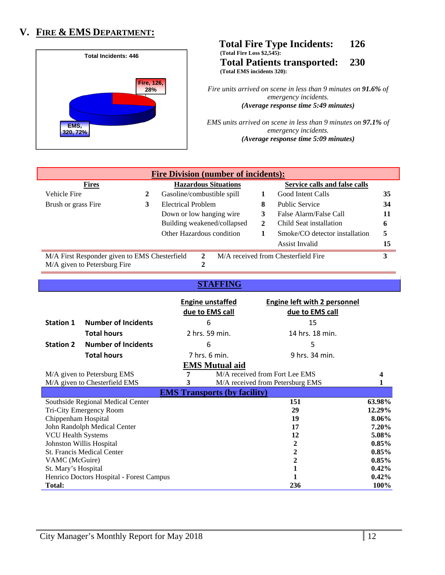## **V. FIRE & EMS DEPARTMENT:**



 **Total Fire Type Incidents: 126 (Total Fire Loss \$2,545): Total Patients transported: 230 (Total EMS incidents 320):** 

> *Fire units arrived on scene in less than 9 minutes on 91.6% of emergency incidents. (Average response time 5:49 minutes)*

> *EMS units arrived on scene in less than 9 minutes on 97.1% of emergency incidents. (Average response time 5:09 minutes)*

| <b>Fire Division (number of incidents):</b>                                                          |   |                             |                   |                                |    |
|------------------------------------------------------------------------------------------------------|---|-----------------------------|-------------------|--------------------------------|----|
| <b>Fires</b>                                                                                         |   | <b>Hazardous Situations</b> |                   | Service calls and false calls  |    |
| Vehicle Fire                                                                                         | 2 | Gasoline/combustible spill  | Good Intent Calls |                                | 35 |
| Brush or grass Fire                                                                                  | 3 | Electrical Problem          | 8                 | <b>Public Service</b>          | 34 |
|                                                                                                      |   | Down or low hanging wire    |                   | False Alarm/False Call         | 11 |
|                                                                                                      |   | Building weakened/collapsed | 2                 | Child Seat installation        | 6  |
|                                                                                                      |   | Other Hazardous condition   |                   | Smoke/CO detector installation | 5  |
|                                                                                                      |   |                             |                   | <b>Assist Invalid</b>          | 15 |
| M/A received from Chesterfield Fire<br>M/A First Responder given to EMS Chesterfield<br>$\mathbf{2}$ |   |                             |                   | 3                              |    |
| M/A given to Petersburg Fire                                                                         |   |                             |                   |                                |    |

### **STAFFING**

|                                          |                                    |   | <b>Engine unstaffed</b><br>due to EMS call | Engine left with 2 personnel<br>due to EMS call |          |
|------------------------------------------|------------------------------------|---|--------------------------------------------|-------------------------------------------------|----------|
| <b>Station 1</b>                         | <b>Number of Incidents</b>         |   | 6                                          | 15                                              |          |
|                                          | <b>Total hours</b>                 |   | 2 hrs. 59 min.                             | 14 hrs. 18 min.                                 |          |
| <b>Station 2</b>                         | <b>Number of Incidents</b>         |   | 6                                          | 5                                               |          |
|                                          | <b>Total hours</b>                 |   | 7 hrs. 6 min.                              | 9 hrs. 34 min.                                  |          |
|                                          |                                    |   | <b>EMS</b> Mutual aid                      |                                                 |          |
|                                          | M/A given to Petersburg EMS        | 7 |                                            | M/A received from Fort Lee EMS                  |          |
|                                          | M/A given to Chesterfield EMS<br>3 |   |                                            | M/A received from Petersburg EMS                |          |
|                                          |                                    |   | <b>EMS Transports (by facility)</b>        |                                                 |          |
|                                          | Southside Regional Medical Center  |   |                                            | 151                                             | 63.98%   |
|                                          | Tri-City Emergency Room            |   |                                            | 29                                              | 12.29%   |
| Chippenham Hospital                      |                                    |   |                                            | 19                                              | 8.06%    |
|                                          | John Randolph Medical Center       |   |                                            | 17                                              | 7.20%    |
| <b>VCU Health Systems</b>                |                                    |   |                                            | 12                                              | 5.08%    |
|                                          | Johnston Willis Hospital           |   |                                            | 2                                               | $0.85\%$ |
|                                          | <b>St. Francis Medical Center</b>  |   |                                            | $\boldsymbol{2}$                                | $0.85\%$ |
| VAMC (McGuire)                           |                                    |   |                                            | $\boldsymbol{2}$                                | $0.85\%$ |
| St. Mary's Hospital                      |                                    |   |                                            | $\mathbf{1}$                                    | $0.42\%$ |
| Henrico Doctors Hospital - Forest Campus |                                    |   |                                            |                                                 | 0.42%    |
| <b>Total:</b>                            |                                    |   |                                            | 236                                             | 100%     |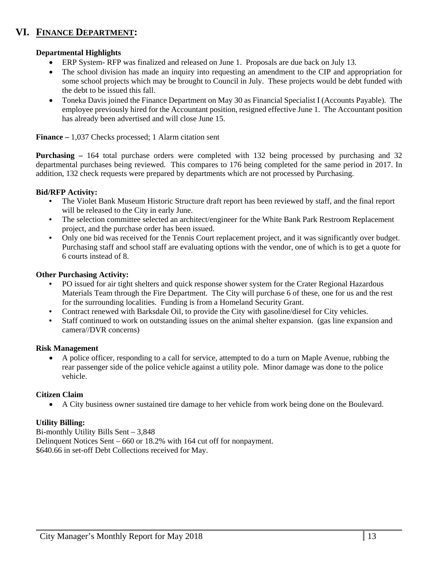## **VI. FINANCE DEPARTMENT:**

### **Departmental Highlights**

- ERP System- RFP was finalized and released on June 1. Proposals are due back on July 13.
- The school division has made an inquiry into requesting an amendment to the CIP and appropriation for some school projects which may be brought to Council in July. These projects would be debt funded with the debt to be issued this fall.
- Toneka Davis joined the Finance Department on May 30 as Financial Specialist I (Accounts Payable). The employee previously hired for the Accountant position, resigned effective June 1. The Accountant position has already been advertised and will close June 15.

**Finance –** 1,037 Checks processed; 1 Alarm citation sent

**Purchasing –** 164 total purchase orders were completed with 132 being processed by purchasing and 32 departmental purchases being reviewed. This compares to 176 being completed for the same period in 2017. In addition, 132 check requests were prepared by departments which are not processed by Purchasing.

### **Bid/RFP Activity:**

- **•** The Violet Bank Museum Historic Structure draft report has been reviewed by staff, and the final report will be released to the City in early June.
- **•** The selection committee selected an architect/engineer for the White Bank Park Restroom Replacement project, and the purchase order has been issued.
- Only one bid was received for the Tennis Court replacement project, and it was significantly over budget. Purchasing staff and school staff are evaluating options with the vendor, one of which is to get a quote for 6 courts instead of 8.

### **Other Purchasing Activity:**

- **•** PO issued for air tight shelters and quick response shower system for the Crater Regional Hazardous Materials Team through the Fire Department. The City will purchase 6 of these, one for us and the rest for the surrounding localities. Funding is from a Homeland Security Grant.
- **•** Contract renewed with Barksdale Oil, to provide the City with gasoline/diesel for City vehicles.
- **•** Staff continued to work on outstanding issues on the animal shelter expansion. (gas line expansion and camera//DVR concerns)

### **Risk Management**

 A police officer, responding to a call for service, attempted to do a turn on Maple Avenue, rubbing the rear passenger side of the police vehicle against a utility pole. Minor damage was done to the police vehicle.

### **Citizen Claim**

A City business owner sustained tire damage to her vehicle from work being done on the Boulevard.

### **Utility Billing:**

Bi-monthly Utility Bills Sent – 3,848 Delinquent Notices Sent – 660 or 18.2% with 164 cut off for nonpayment. \$640.66 in set-off Debt Collections received for May.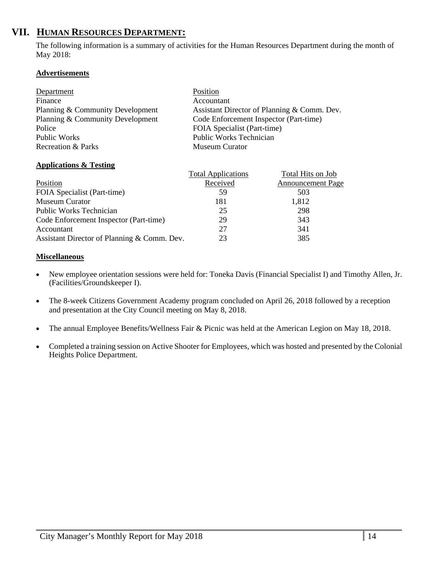## **VII. HUMAN RESOURCES DEPARTMENT:**

The following information is a summary of activities for the Human Resources Department during the month of May 2018:

### **Advertisements**

| Department                       | Position                                    |
|----------------------------------|---------------------------------------------|
| Finance                          | Accountant                                  |
| Planning & Community Development | Assistant Director of Planning & Comm. Dev. |
| Planning & Community Development | Code Enforcement Inspector (Part-time)      |
| Police                           | FOIA Specialist (Part-time)                 |
| Public Works                     | <b>Public Works Technician</b>              |
| Recreation & Parks               | <b>Museum Curator</b>                       |

### **Applications & Testing**

|                                             | <b>Total Applications</b> | Total Hits on Job        |
|---------------------------------------------|---------------------------|--------------------------|
| Position                                    | Received                  | <b>Announcement Page</b> |
| FOIA Specialist (Part-time)                 | 59                        | 503                      |
| Museum Curator                              | 181                       | 1,812                    |
| Public Works Technician                     | 25                        | 298                      |
| Code Enforcement Inspector (Part-time)      | 29                        | 343                      |
| Accountant                                  | 27                        | 341                      |
| Assistant Director of Planning & Comm. Dev. | 23                        | 385                      |

### **Miscellaneous**

- New employee orientation sessions were held for: Toneka Davis (Financial Specialist I) and Timothy Allen, Jr. (Facilities/Groundskeeper I).
- The 8-week Citizens Government Academy program concluded on April 26, 2018 followed by a reception and presentation at the City Council meeting on May 8, 2018.
- The annual Employee Benefits/Wellness Fair & Picnic was held at the American Legion on May 18, 2018.
- Completed a training session on Active Shooter for Employees, which was hosted and presented by the Colonial Heights Police Department.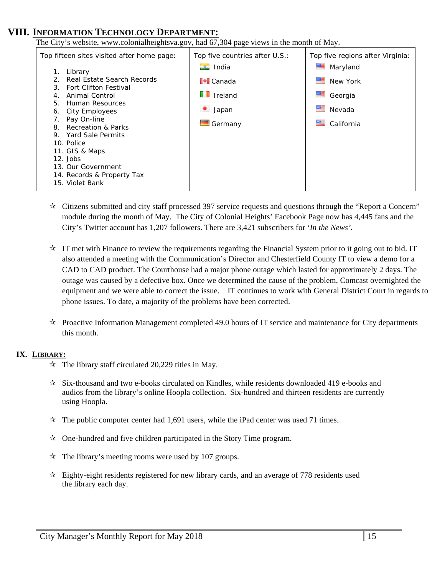## **VIII. INFORMATION TECHNOLOGY DEPARTMENT:**

The City's website, www.colonialheightsva.gov, had 67,304 page views in the month of May. Top fifteen sites visited after home page: 1. Library 2. Real Estate Search Records 3. Fort Clifton Festival 4. Animal Control 5. Human Resources 6. City Employees 7. Pay On-line 8. Recreation & Parks 9. Yard Sale Permits 10. Police 11. GIS & Maps 12. Jobs 13. Our Government 14. Records & Property Tax 15. Violet Bank Top five countries after U.S.: **India I**<sup>●</sup>I Canada **I**I Ireland Japan Germany Top five regions after Virginia: Maryland New York Georgia Nevada California

- $\star$  Citizens submitted and city staff processed 397 service requests and questions through the "Report a Concern" module during the month of May. The City of Colonial Heights' Facebook Page now has 4,445 fans and the City's Twitter account has 1,207 followers. There are 3,421 subscribers for '*In the News'.*
- $\star$  IT met with Finance to review the requirements regarding the Financial System prior to it going out to bid. IT also attended a meeting with the Communication's Director and Chesterfield County IT to view a demo for a CAD to CAD product. The Courthouse had a major phone outage which lasted for approximately 2 days. The outage was caused by a defective box. Once we determined the cause of the problem, Comcast overnighted the equipment and we were able to correct the issue. IT continues to work with General District Court in regards to phone issues. To date, a majority of the problems have been corrected.
- $\mathcal{R}$  Proactive Information Management completed 49.0 hours of IT service and maintenance for City departments this month.

### **IX. LIBRARY:**

- $\approx$  The library staff circulated 20,229 titles in May.
- $\overrightarrow{x}$  Six-thousand and two e-books circulated on Kindles, while residents downloaded 419 e-books and audios from the library's online Hoopla collection. Six-hundred and thirteen residents are currently using Hoopla.
- $\star$  The public computer center had 1,691 users, while the iPad center was used 71 times.
- $\mathcal{R}$  One-hundred and five children participated in the Story Time program.
- $\approx$  The library's meeting rooms were used by 107 groups.
- $\star$  Eighty-eight residents registered for new library cards, and an average of 778 residents used the library each day.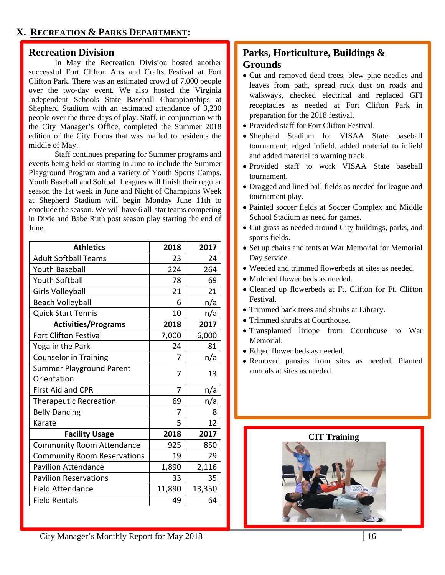### **Recreation Division**

 In May the Recreation Division hosted another successful Fort Clifton Arts and Crafts Festival at Fort Clifton Park. There was an estimated crowd of 7,000 people over the two-day event. We also hosted the Virginia Independent Schools State Baseball Championships at Shepherd Stadium with an estimated attendance of 3,200 people over the three days of play. Staff, in conjunction with the City Manager's Office, completed the Summer 2018 edition of the City Focus that was mailed to residents the middle of May.

 Staff continues preparing for Summer programs and events being held or starting in June to include the Summer Playground Program and a variety of Youth Sports Camps. Youth Baseball and Softball Leagues will finish their regular season the 1st week in June and Night of Champions Week at Shepherd Stadium will begin Monday June 11th to conclude the season. We will have 6 all-star teams competing in Dixie and Babe Ruth post season play starting the end of June.

| <b>Athletics</b>                   | 2018   | 2017   |
|------------------------------------|--------|--------|
| <b>Adult Softball Teams</b>        | 23     | 24     |
| <b>Youth Baseball</b>              | 224    | 264    |
| <b>Youth Softball</b>              | 78     | 69     |
| Girls Volleyball                   | 21     | 21     |
| <b>Beach Volleyball</b>            | 6      | n/a    |
| <b>Quick Start Tennis</b>          | 10     | n/a    |
| <b>Activities/Programs</b>         | 2018   | 2017   |
| <b>Fort Clifton Festival</b>       | 7,000  | 6,000  |
| Yoga in the Park                   | 24     | 81     |
| <b>Counselor in Training</b>       | 7      | n/a    |
| <b>Summer Playground Parent</b>    | 7      | 13     |
| Orientation                        |        |        |
| <b>First Aid and CPR</b>           | 7      | n/a    |
| <b>Therapeutic Recreation</b>      | 69     | n/a    |
| <b>Belly Dancing</b>               | 7      | 8      |
| Karate                             | 5      | 12     |
| <b>Facility Usage</b>              | 2018   | 2017   |
| <b>Community Room Attendance</b>   | 925    | 850    |
| <b>Community Room Reservations</b> | 19     | 29     |
| <b>Pavilion Attendance</b>         | 1,890  | 2,116  |
| <b>Pavilion Reservations</b>       | 33     | 35     |
| <b>Field Attendance</b>            | 11,890 | 13,350 |
| <b>Field Rentals</b>               | 49     | 64     |

## **Parks, Horticulture, Buildings & Grounds**

- Cut and removed dead trees, blew pine needles and leaves from path, spread rock dust on roads and walkways, checked electrical and replaced GFI receptacles as needed at Fort Clifton Park in preparation for the 2018 festival.
- Provided staff for Fort Clifton Festival.
- Shepherd Stadium for VISAA State baseball tournament; edged infield, added material to infield and added material to warning track.
- Provided staff to work VISAA State baseball tournament.
- Dragged and lined ball fields as needed for league and tournament play.
- Painted soccer fields at Soccer Complex and Middle School Stadium as need for games.
- Cut grass as needed around City buildings, parks, and sports fields.
- Set up chairs and tents at War Memorial for Memorial Day service.
- Weeded and trimmed flowerbeds at sites as needed.
- Mulched flower beds as needed.
- Cleaned up flowerbeds at Ft. Clifton for Ft. Clifton Festival.
- Trimmed back trees and shrubs at Library.
- Trimmed shrubs at Courthouse.
- Transplanted liriope from Courthouse to War Memorial.
- Edged flower beds as needed.
- Removed pansies from sites as needed. Planted annuals at sites as needed.

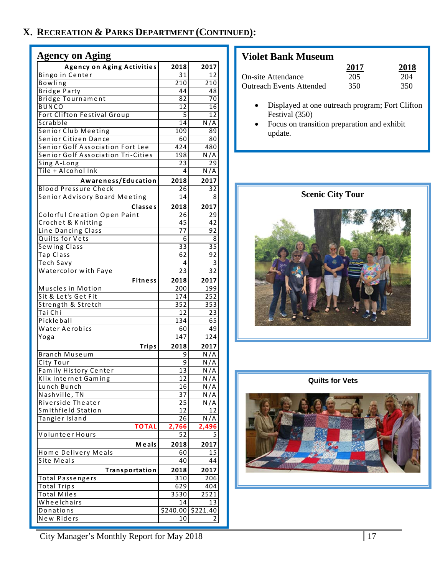## **X. RECREATION & PARKS DEPARTMENT (CONTINUED):**

| <b>Agency on Aging</b>                    |                  |          |
|-------------------------------------------|------------------|----------|
| <b>Agency on Aging Activities</b>         | 2018             | 2017     |
| Bingo in Center                           | 31               | 12       |
| Bowling                                   | 210              | 210      |
| <b>Bridge Party</b>                       | 44               | 48       |
| <b>Bridge Tournament</b>                  | 82               | 70       |
| <b>BUNCO</b>                              | 12               | 16       |
| Fort Clifton Festival Group               | 5                | 12       |
| Scrabble                                  | 14               | N/A      |
| <b>Senior Club Meeting</b>                | 109              | 89       |
| Senior Citizen Dance                      | 60               | 80       |
| Senior Golf Association Fort Lee          | 424              | 480      |
| <b>Senior Golf Association Tri-Cities</b> | 198              | N/A      |
| Sing A-Long                               | 23               | 29       |
| Tile + Alcohol Ink                        | 4                | N/A      |
|                                           |                  |          |
| Awareness/Education                       | 2018             | 2017     |
| <b>Blood Pressure Check</b>               | 26               | 32       |
| <b>Senior Advisory Board Meeting</b>      | 14               | 8        |
| <b>Classes</b>                            | 2018             | 2017     |
| <b>Colorful Creation Open Paint</b>       | 26               | 29       |
| Crochet & Knitting                        | 45               | 42       |
| Line Dancing Class                        | 77               | 92       |
| Quilts for Vets                           | 6                | 8        |
| <b>Sewing Class</b>                       | 33               | 35       |
| Tap Class                                 | 62               | 92       |
| Tech Savy                                 | 4                | 3        |
|                                           | 23               | 32       |
| Watercolor with Faye                      |                  |          |
| <b>Fitness</b>                            | 2018             | 2017     |
| Muscles in Motion                         | 200              | 199      |
| Sit & Let's Get Fit                       | $\overline{174}$ | 252      |
| Strength & Stretch                        | 352              | 353      |
| Tai Chi                                   | 12               | 23       |
| Pickleball                                | 134              | 65       |
| Water Aerobics                            | 60               | 49       |
| Yoga                                      | 147              | 124      |
| <b>Trips</b>                              | 2018             | 2017     |
| Branch Museum                             | 9                | N/A      |
| City Tour                                 | 9                | N/A      |
| Family History Center                     | 13               | N/A      |
|                                           |                  |          |
| Klix Internet Gaming                      | 12               | N/A      |
| Lunch Bunch                               | 16               | N / A    |
| Nashville, TN                             | 37               | N/A      |
| Riverside Theater                         | 25               | N/<br>А  |
| Smithfield Station                        | 12               | 12       |
| Tangier Island                            | 26               | N/A      |
| <b>TOTAL</b>                              | 2,766            | 2,496    |
| Volunteer Hours                           | 52               | 5        |
| Meals                                     | 2018             | 2017     |
| Home Delivery Meals                       | 60               | 15       |
| Site Meals                                | 40               | 44       |
| Transportation                            | 2018             | 2017     |
| <b>Total Passengers</b>                   | 310              | 206      |
|                                           | 629              | 404      |
| <b>Total Trips</b>                        |                  |          |
| Total Miles                               | 3530             | 2521     |
| Wheelchairs                               | 14               | 13       |
| Donations                                 | \$240.00         | \$221.40 |
| New Riders                                | 10               | 2        |

## **Violet Bank Museum**

|                                 | 2017 | 2018 |
|---------------------------------|------|------|
| <b>On-site Attendance</b>       | 205  | 204  |
| <b>Outreach Events Attended</b> | 350  | 350  |

- Displayed at one outreach program; Fort Clifton Festival (350)
- Focus on transition preparation and exhibit update.



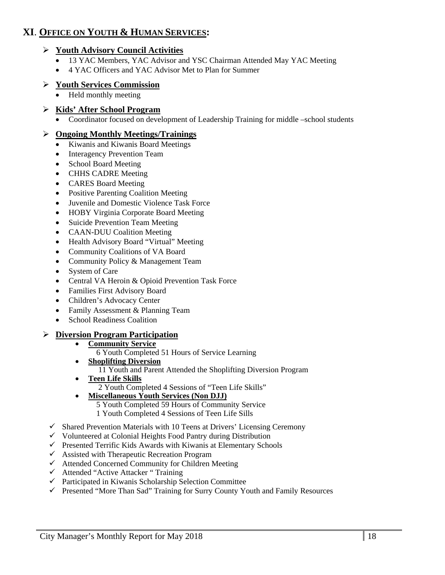## **XI**. **OFFICE ON YOUTH & HUMAN SERVICES:**

### **Youth Advisory Council Activities**

- 13 YAC Members, YAC Advisor and YSC Chairman Attended May YAC Meeting
- 4 YAC Officers and YAC Advisor Met to Plan for Summer

### **Youth Services Commission**

• Held monthly meeting

### **Kids' After School Program**

Coordinator focused on development of Leadership Training for middle –school students

### **Ongoing Monthly Meetings/Trainings**

- Kiwanis and Kiwanis Board Meetings
- Interagency Prevention Team
- School Board Meeting
- CHHS CADRE Meeting
- CARES Board Meeting
- Positive Parenting Coalition Meeting
- Juvenile and Domestic Violence Task Force
- HOBY Virginia Corporate Board Meeting
- Suicide Prevention Team Meeting
- CAAN-DUU Coalition Meeting
- Health Advisory Board "Virtual" Meeting
- Community Coalitions of VA Board
- Community Policy & Management Team
- System of Care
- Central VA Heroin & Opioid Prevention Task Force
- Families First Advisory Board
- Children's Advocacy Center
- Family Assessment & Planning Team
- School Readiness Coalition

### **Diversion Program Participation**

- **Community Service** 
	- 6 Youth Completed 51 Hours of Service Learning
- **Shoplifting Diversion**  11 Youth and Parent Attended the Shoplifting Diversion Program
- **Teen Life Skills**  2 Youth Completed 4 Sessions of "Teen Life Skills"
- **Miscellaneous Youth Services (Non DJJ)** 
	- 5 Youth Completed 59 Hours of Community Service
		- 1 Youth Completed 4 Sessions of Teen Life Sills
- $\checkmark$  Shared Prevention Materials with 10 Teens at Drivers' Licensing Ceremony
- $\checkmark$  Volunteered at Colonial Heights Food Pantry during Distribution
- $\checkmark$  Presented Terrific Kids Awards with Kiwanis at Elementary Schools
- $\checkmark$  Assisted with Therapeutic Recreation Program
- $\checkmark$  Attended Concerned Community for Children Meeting
- Attended "Active Attacker " Training
- $\checkmark$  Participated in Kiwanis Scholarship Selection Committee
- Presented "More Than Sad" Training for Surry County Youth and Family Resources